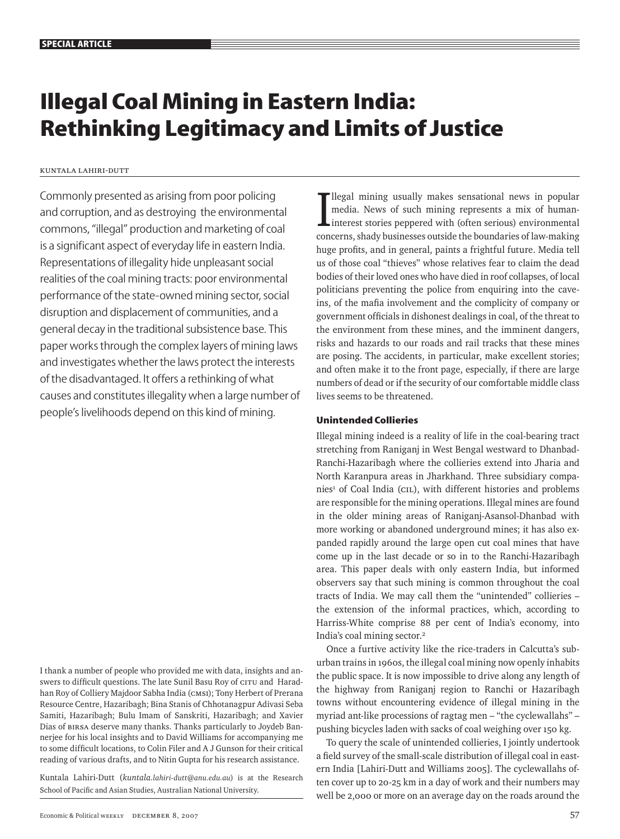# **Illegal Coal Mining in Eastern India: Rethinking Legitimacy and Limits of Justice**

## Kuntala Lahiri-Dutt

Commonly presented as arising from poor policing and corruption, and as destroying the environmental commons, "illegal" production and marketing of coal is a significant aspect of everyday life in eastern India. Representations of illegality hide unpleasant social realities of the coal mining tracts: poor environmental performance of the state-owned mining sector, social disruption and displacement of communities, and a general decay in the traditional subsistence base. This paper works through the complex layers of mining laws and investigates whether the laws protect the interests of the disadvantaged. It offers a rethinking of what causes and constitutes illegality when a large number of people's livelihoods depend on this kind of mining.

I thank a number of people who provided me with data, insights and answers to difficult questions. The late Sunil Basu Roy of CITU and Haradhan Roy of Colliery Majdoor Sabha India (CMSI); Tony Herbert of Prerana Resource Centre, Hazaribagh; Bina Stanis of Chhotanagpur Adivasi Seba Samiti, Hazaribagh; Bulu Imam of Sanskriti, Hazaribagh; and Xavier Dias of BIRSA deserve many thanks. Thanks particularly to Joydeb Bannerjee for his local insights and to David Williams for accompanying me to some difficult locations, to Colin Filer and A J Gunson for their critical reading of various drafts, and to Nitin Gupta for his research assistance.

Kuntala Lahiri-Dutt (*kuntala.lahiri-dutt@anu.edu.au*) is at the Research School of Pacific and Asian Studies, Australian National University.

Ilegal mining usually makes sensational news in popular media. News of such mining represents a mix of human-interest stories peppered with (often serious) environmental concerns, shady businesses outside the boundaries of llegal mining usually makes sensational news in popular media. News of such mining represents a mix of humaninterest stories peppered with (often serious) environmental huge profits, and in general, paints a frightful future. Media tell us of those coal "thieves" whose relatives fear to claim the dead bodies of their loved ones who have died in roof collapses, of local politicians preventing the police from enquiring into the caveins, of the mafia involvement and the complicity of company or government officials in dishonest dealings in coal, of the threat to the environment from these mines, and the imminent dangers, risks and hazards to our roads and rail tracks that these mines are posing. The accidents, in particular, make excellent stories; and often make it to the front page, especially, if there are large numbers of dead or if the security of our comfortable middle class lives seems to be threatened.

# **Unintended Collieries**

Illegal mining indeed is a reality of life in the coal-bearing tract stretching from Raniganj in West Bengal westward to Dhanbad-Ranchi-Hazaribagh where the collieries extend into Jharia and North Karanpura areas in Jharkhand. Three subsidiary companies<sup>1</sup> of Coal India (CIL), with different histories and problems are responsible for the mining operations. Illegal mines are found in the older mining areas of Raniganj-Asansol-Dhanbad with more working or abandoned underground mines; it has also expanded rapidly around the large open cut coal mines that have come up in the last decade or so in to the Ranchi-Hazaribagh area. This paper deals with only eastern India, but informed observers say that such mining is common throughout the coal tracts of India. We may call them the "unintended" collieries – the extension of the informal practices, which, according to Harriss-White comprise 88 per cent of India's economy, into India's coal mining sector.2

Once a furtive activity like the rice-traders in Calcutta's suburban trains in 1960s, the illegal coal mining now openly inhabits the public space. It is now impossible to drive along any length of the highway from Raniganj region to Ranchi or Hazaribagh towns without encountering evidence of illegal mining in the myriad ant-like processions of ragtag men – "the cyclewallahs" – pushing bicycles laden with sacks of coal weighing over 150 kg.

To query the scale of unintended collieries, I jointly undertook a field survey of the small-scale distribution of illegal coal in eastern India [Lahiri-Dutt and Williams 2005]. The cyclewallahs often cover up to 20-25 km in a day of work and their numbers may well be 2,000 or more on an average day on the roads around the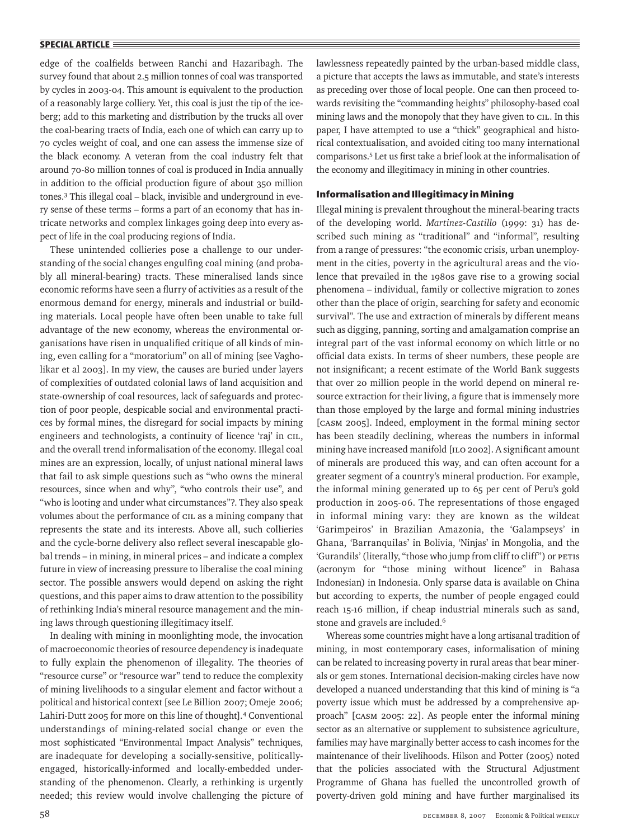edge of the coalfields between Ranchi and Hazaribagh. The survey found that about 2.5 million tonnes of coal was transported by cycles in 2003-04. This amount is equivalent to the production of a reasonably large colliery. Yet, this coal is just the tip of the iceberg; add to this marketing and distribution by the trucks all over the coal-bearing tracts of India, each one of which can carry up to 70 cycles weight of coal, and one can assess the immense size of the black economy. A veteran from the coal industry felt that around 70-80 million tonnes of coal is produced in India annually in addition to the official production figure of about 350 million tones.3 This illegal coal – black, invisible and underground in every sense of these terms – forms a part of an economy that has intricate networks and complex linkages going deep into every aspect of life in the coal producing regions of India.

These unintended collieries pose a challenge to our understanding of the social changes engulfing coal mining (and probably all mineral-bearing) tracts. These mineralised lands since economic reforms have seen a flurry of activities as a result of the enormous demand for energy, minerals and industrial or building materials. Local people have often been unable to take full advantage of the new economy, whereas the environmental organisations have risen in unqualified critique of all kinds of mining, even calling for a "moratorium" on all of mining [see Vagholikar et al 2003]. In my view, the causes are buried under layers of complexities of outdated colonial laws of land acquisition and state-ownership of coal resources, lack of safeguards and protection of poor people, despicable social and environmental practices by formal mines, the disregard for social impacts by mining engineers and technologists, a continuity of licence 'raj' in CIL, and the overall trend informalisation of the economy. Illegal coal mines are an expression, locally, of unjust national mineral laws that fail to ask simple questions such as "who owns the mineral resources, since when and why", "who controls their use", and "who is looting and under what circumstances"?. They also speak volumes about the performance of CIL as a mining company that represents the state and its interests. Above all, such collieries and the cycle-borne delivery also reflect several inescapable global trends – in mining, in mineral prices – and indicate a complex future in view of increasing pressure to liberalise the coal mining sector. The possible answers would depend on asking the right questions, and this paper aims to draw attention to the possibility of rethinking India's mineral resource management and the mining laws through questioning illegitimacy itself.

In dealing with mining in moonlighting mode, the invocation of macroeconomic theories of resource dependency is inadequate to fully explain the phenomenon of illegality. The theories of "resource curse" or "resource war" tend to reduce the complexity of mining livelihoods to a singular element and factor without a political and historical context [see Le Billion 2007; Omeje 2006; Lahiri-Dutt 2005 for more on this line of thought].4 Conventional understandings of mining-related social change or even the most sophisticated "Environmental Impact Analysis" techniques, are inadequate for developing a socially-sensitive, politicallyengaged, historically-informed and locally-embedded understanding of the phenomenon. Clearly, a rethinking is urgently needed; this review would involve challenging the picture of lawlessness repeatedly painted by the urban-based middle class, a picture that accepts the laws as immutable, and state's interests as preceding over those of local people. One can then proceed towards revisiting the "commanding heights" philosophy-based coal mining laws and the monopoly that they have given to CIL. In this paper, I have attempted to use a "thick" geographical and historical contextualisation, and avoided citing too many international comparisons.5 Let us first take a brief look at the informalisation of the economy and illegitimacy in mining in other countries.

#### **Informalisation and Illegitimacy in Mining**

Illegal mining is prevalent throughout the mineral-bearing tracts of the developing world. *Martinez-Castillo* (1999: 31) has described such mining as "traditional" and "informal", resulting from a range of pressures: "the economic crisis, urban unemployment in the cities, poverty in the agricultural areas and the violence that prevailed in the 1980s gave rise to a growing social phenomena – individual, family or collective migration to zones other than the place of origin, searching for safety and economic survival". The use and extraction of minerals by different means such as digging, panning, sorting and amalgamation comprise an integral part of the vast informal economy on which little or no official data exists. In terms of sheer numbers, these people are not insignificant; a recent estimate of the World Bank suggests that over 20 million people in the world depend on mineral resource extraction for their living, a figure that is immensely more than those employed by the large and formal mining industries [CASM 2005]. Indeed, employment in the formal mining sector has been steadily declining, whereas the numbers in informal mining have increased manifold [ILO 2002]. A significant amount of minerals are produced this way, and can often account for a greater segment of a country's mineral production. For example, the informal mining generated up to 65 per cent of Peru's gold production in 2005-06. The representations of those engaged in informal mining vary: they are known as the wildcat 'Garimpeiros' in Brazilian Amazonia, the 'Galampseys' in Ghana, 'Barranquilas' in Bolivia, 'Ninjas' in Mongolia, and the 'Gurandils' (literally, "those who jump from cliff to cliff") or PETIs (acronym for "those mining without licence" in Bahasa Indonesian) in Indonesia. Only sparse data is available on China but according to experts, the number of people engaged could reach 15-16 million, if cheap industrial minerals such as sand, stone and gravels are included.<sup>6</sup>

Whereas some countries might have a long artisanal tradition of mining, in most contemporary cases, informalisation of mining can be related to increasing poverty in rural areas that bear minerals or gem stones. International decision-making circles have now developed a nuanced understanding that this kind of mining is "a poverty issue which must be addressed by a comprehensive approach" [CASM 2005: 22]. As people enter the informal mining sector as an alternative or supplement to subsistence agriculture, families may have marginally better access to cash incomes for the maintenance of their livelihoods. Hilson and Potter (2005) noted that the policies associated with the Structural Adjustment Programme of Ghana has fuelled the uncontrolled growth of poverty-driven gold mining and have further marginalised its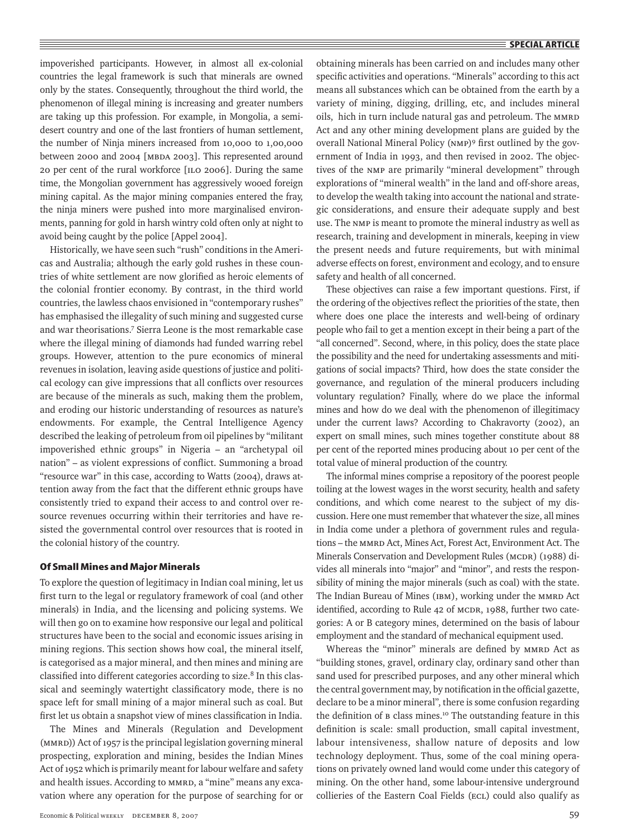impoverished participants. However, in almost all ex-colonial countries the legal framework is such that minerals are owned only by the states. Consequently, throughout the third world, the phenomenon of illegal mining is increasing and greater numbers are taking up this profession. For example, in Mongolia, a semidesert country and one of the last frontiers of human settlement, the number of Ninja miners increased from 10,000 to 1,00,000 between 2000 and 2004 [MBDA 2003]. This represented around 20 per cent of the rural workforce [ILO 2006]. During the same time, the Mongolian government has aggressively wooed foreign mining capital. As the major mining companies entered the fray, the ninja miners were pushed into more marginalised environments, panning for gold in harsh wintry cold often only at night to avoid being caught by the police [Appel 2004].

Historically, we have seen such "rush" conditions in the Americas and Australia; although the early gold rushes in these countries of white settlement are now glorified as heroic elements of the colonial frontier economy. By contrast, in the third world countries, the lawless chaos envisioned in "contemporary rushes" has emphasised the illegality of such mining and suggested curse and war theorisations.7 Sierra Leone is the most remarkable case where the illegal mining of diamonds had funded warring rebel groups. However, attention to the pure economics of mineral revenues in isolation, leaving aside questions of justice and political ecology can give impressions that all conflicts over resources are because of the minerals as such, making them the problem, and eroding our historic understanding of resources as nature's endowments. For example, the Central Intelligence Agency described the leaking of petroleum from oil pipelines by "militant impoverished ethnic groups" in Nigeria – an "archetypal oil nation" – as violent expressions of conflict. Summoning a broad "resource war" in this case, according to Watts (2004), draws attention away from the fact that the different ethnic groups have consistently tried to expand their access to and control over resource revenues occurring within their territories and have resisted the governmental control over resources that is rooted in the colonial history of the country.

#### **Of Small Mines and Major Minerals**

To explore the question of legitimacy in Indian coal mining, let us first turn to the legal or regulatory framework of coal (and other minerals) in India, and the licensing and policing systems. We will then go on to examine how responsive our legal and political structures have been to the social and economic issues arising in mining regions. This section shows how coal, the mineral itself, is categorised as a major mineral, and then mines and mining are classified into different categories according to size.<sup>8</sup> In this classical and seemingly watertight classificatory mode, there is no space left for small mining of a major mineral such as coal. But first let us obtain a snapshot view of mines classification in India.

The Mines and Minerals (Regulation and Development (MMRD)) Act of 1957 is the principal legislation governing mineral prospecting, exploration and mining, besides the Indian Mines Act of 1952 which is primarily meant for labour welfare and safety and health issues. According to MMRD, a "mine" means any excavation where any operation for the purpose of searching for or obtaining minerals has been carried on and includes many other specific activities and operations. "Minerals" according to this act means all substances which can be obtained from the earth by a variety of mining, digging, drilling, etc, and includes mineral oils, hich in turn include natural gas and petroleum. The MMRD Act and any other mining development plans are guided by the overall National Mineral Policy (NMP)<sup>9</sup> first outlined by the government of India in 1993, and then revised in 2002. The objectives of the NMP are primarily "mineral development" through explorations of "mineral wealth" in the land and off-shore areas, to develop the wealth taking into account the national and strategic considerations, and ensure their adequate supply and best use. The NMP is meant to promote the mineral industry as well as research, training and development in minerals, keeping in view the present needs and future requirements, but with minimal adverse effects on forest, environment and ecology, and to ensure safety and health of all concerned.

These objectives can raise a few important questions. First, if the ordering of the objectives reflect the priorities of the state, then where does one place the interests and well-being of ordinary people who fail to get a mention except in their being a part of the "all concerned". Second, where, in this policy, does the state place the possibility and the need for undertaking assessments and mitigations of social impacts? Third, how does the state consider the governance, and regulation of the mineral producers including voluntary regulation? Finally, where do we place the informal mines and how do we deal with the phenomenon of illegitimacy under the current laws? According to Chakravorty (2002), an expert on small mines, such mines together constitute about 88 per cent of the reported mines producing about 10 per cent of the total value of mineral production of the country.

The informal mines comprise a repository of the poorest people toiling at the lowest wages in the worst security, health and safety conditions, and which come nearest to the subject of my discussion. Here one must remember that whatever the size, all mines in India come under a plethora of government rules and regulations – the MMRD Act, Mines Act, Forest Act, Environment Act. The Minerals Conservation and Development Rules (MCDR) (1988) divides all minerals into "major" and "minor", and rests the responsibility of mining the major minerals (such as coal) with the state. The Indian Bureau of Mines (IBM), working under the MMRD Act identified, according to Rule 42 of MCDR, 1988, further two categories: A or B category mines, determined on the basis of labour employment and the standard of mechanical equipment used.

Whereas the "minor" minerals are defined by MMRD Act as "building stones, gravel, ordinary clay, ordinary sand other than sand used for prescribed purposes, and any other mineral which the central government may, by notification in the official gazette, declare to be a minor mineral", there is some confusion regarding the definition of B class mines.10 The outstanding feature in this definition is scale: small production, small capital investment, labour intensiveness, shallow nature of deposits and low technology deployment. Thus, some of the coal mining operations on privately owned land would come under this category of mining. On the other hand, some labour-intensive underground collieries of the Eastern Coal Fields (ECL) could also qualify as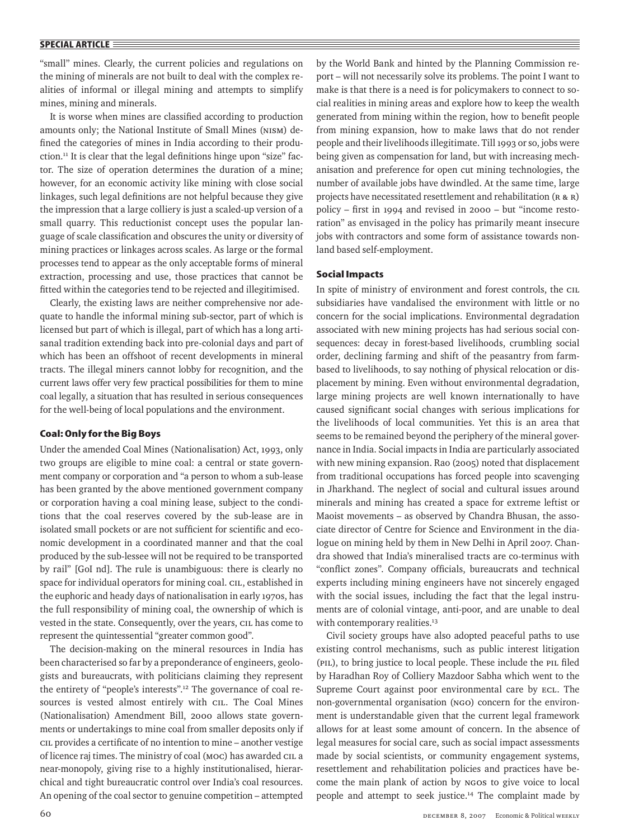"small" mines. Clearly, the current policies and regulations on the mining of minerals are not built to deal with the complex realities of informal or illegal mining and attempts to simplify mines, mining and minerals.

It is worse when mines are classified according to production amounts only; the National Institute of Small Mines (NISM) defined the categories of mines in India according to their production.11 It is clear that the legal definitions hinge upon "size" factor. The size of operation determines the duration of a mine; however, for an economic activity like mining with close social linkages, such legal definitions are not helpful because they give the impression that a large colliery is just a scaled-up version of a small quarry. This reductionist concept uses the popular language of scale classification and obscures the unity or diversity of mining practices or linkages across scales. As large or the formal processes tend to appear as the only acceptable forms of mineral extraction, processing and use, those practices that cannot be fitted within the categories tend to be rejected and illegitimised.

Clearly, the existing laws are neither comprehensive nor adequate to handle the informal mining sub-sector, part of which is licensed but part of which is illegal, part of which has a long artisanal tradition extending back into pre-colonial days and part of which has been an offshoot of recent developments in mineral tracts. The illegal miners cannot lobby for recognition, and the current laws offer very few practical possibilities for them to mine coal legally, a situation that has resulted in serious consequences for the well-being of local populations and the environment.

#### **Coal: Only for the Big Boys**

Under the amended Coal Mines (Nationalisation) Act, 1993, only two groups are eligible to mine coal: a central or state government company or corporation and "a person to whom a sub-lease has been granted by the above mentioned government company or corporation having a coal mining lease, subject to the conditions that the coal reserves covered by the sub-lease are in isolated small pockets or are not sufficient for scientific and economic development in a coordinated manner and that the coal produced by the sub-lessee will not be required to be transported by rail" [GoI nd]. The rule is unambiguous: there is clearly no space for individual operators for mining coal. CIL, established in the euphoric and heady days of nationalisation in early 1970s, has the full responsibility of mining coal, the ownership of which is vested in the state. Consequently, over the years, CIL has come to represent the quintessential "greater common good".

The decision-making on the mineral resources in India has been characterised so far by a preponderance of engineers, geologists and bureaucrats, with politicians claiming they represent the entirety of "people's interests".<sup>12</sup> The governance of coal resources is vested almost entirely with CIL. The Coal Mines (Nationalisation) Amendment Bill, 2000 allows state governments or undertakings to mine coal from smaller deposits only if CIL provides a certificate of no intention to mine – another vestige of licence raj times. The ministry of coal (MoC) has awarded CIL a near-monopoly, giving rise to a highly institutionalised, hierarchical and tight bureaucratic control over India's coal resources. An opening of the coal sector to genuine competition – attempted by the World Bank and hinted by the Planning Commission report – will not necessarily solve its problems. The point I want to make is that there is a need is for policymakers to connect to social realities in mining areas and explore how to keep the wealth generated from mining within the region, how to benefit people from mining expansion, how to make laws that do not render people and their livelihoods illegitimate. Till 1993 or so, jobs were being given as compensation for land, but with increasing mechanisation and preference for open cut mining technologies, the number of available jobs have dwindled. At the same time, large projects have necessitated resettlement and rehabilitation (R & R) policy – first in 1994 and revised in 2000 – but "income restoration" as envisaged in the policy has primarily meant insecure jobs with contractors and some form of assistance towards nonland based self-employment.

#### **Social Impacts**

In spite of ministry of environment and forest controls, the CIL subsidiaries have vandalised the environment with little or no concern for the social implications. Environmental degradation associated with new mining projects has had serious social consequences: decay in forest-based livelihoods, crumbling social order, declining farming and shift of the peasantry from farmbased to livelihoods, to say nothing of physical relocation or displacement by mining. Even without environmental degradation, large mining projects are well known internationally to have caused significant social changes with serious implications for the livelihoods of local communities. Yet this is an area that seems to be remained beyond the periphery of the mineral governance in India. Social impacts in India are particularly associated with new mining expansion. Rao (2005) noted that displacement from traditional occupations has forced people into scavenging in Jharkhand. The neglect of social and cultural issues around minerals and mining has created a space for extreme leftist or Maoist movements – as observed by Chandra Bhusan, the associate director of Centre for Science and Environment in the dialogue on mining held by them in New Delhi in April 2007. Chandra showed that India's mineralised tracts are co-terminus with "conflict zones". Company officials, bureaucrats and technical experts including mining engineers have not sincerely engaged with the social issues, including the fact that the legal instruments are of colonial vintage, anti-poor, and are unable to deal with contemporary realities.<sup>13</sup>

Civil society groups have also adopted peaceful paths to use existing control mechanisms, such as public interest litigation (PIL), to bring justice to local people. These include the PIL filed by Haradhan Roy of Colliery Mazdoor Sabha which went to the Supreme Court against poor environmental care by ECL. The non-governmental organisation (NGO) concern for the environment is understandable given that the current legal framework allows for at least some amount of concern. In the absence of legal measures for social care, such as social impact assessments made by social scientists, or community engagement systems, resettlement and rehabilitation policies and practices have become the main plank of action by NGOs to give voice to local people and attempt to seek justice.<sup>14</sup> The complaint made by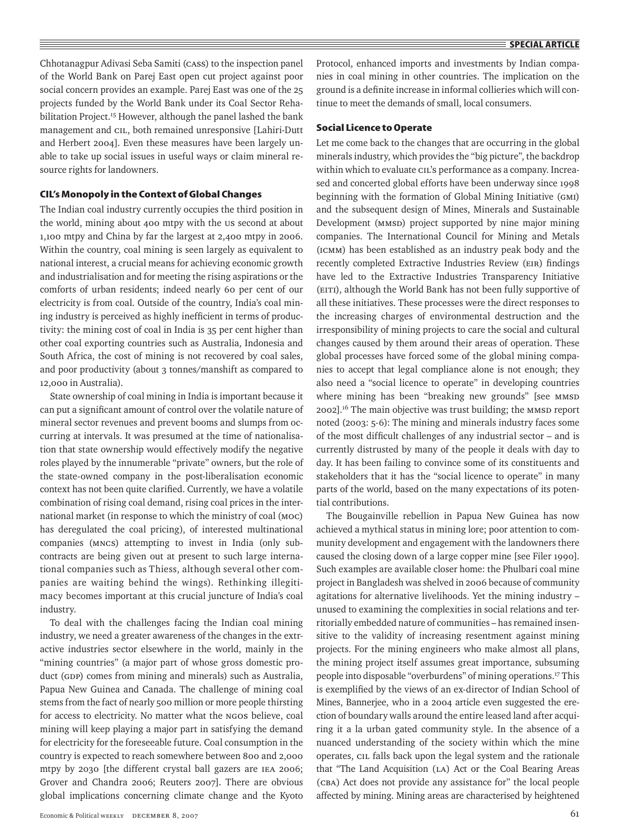Chhotanagpur Adivasi Seba Samiti (CASS) to the inspection panel of the World Bank on Parej East open cut project against poor social concern provides an example. Parej East was one of the 25 projects funded by the World Bank under its Coal Sector Rehabilitation Project.<sup>15</sup> However, although the panel lashed the bank management and CIL, both remained unresponsive [Lahiri-Dutt and Herbert 2004]. Even these measures have been largely unable to take up social issues in useful ways or claim mineral resource rights for landowners.

#### **CIL's Monopoly in the Context of Global Changes**

The Indian coal industry currently occupies the third position in the world, mining about 400 mtpy with the us second at about 1,100 mtpy and China by far the largest at 2,400 mtpy in 2006. Within the country, coal mining is seen largely as equivalent to national interest, a crucial means for achieving economic growth and industrialisation and for meeting the rising aspirations or the comforts of urban residents; indeed nearly 60 per cent of our electricity is from coal. Outside of the country, India's coal mining industry is perceived as highly inefficient in terms of productivity: the mining cost of coal in India is 35 per cent higher than other coal exporting countries such as Australia, Indonesia and South Africa, the cost of mining is not recovered by coal sales, and poor productivity (about 3 tonnes/manshift as compared to 12,000 in Australia).

State ownership of coal mining in India is important because it can put a significant amount of control over the volatile nature of mineral sector revenues and prevent booms and slumps from occurring at intervals. It was presumed at the time of nationalisation that state ownership would effectively modify the negative roles played by the innumerable "private" owners, but the role of the state-owned company in the post-liberalisation economic context has not been quite clarified. Currently, we have a volatile combination of rising coal demand, rising coal prices in the international market (in response to which the ministry of coal (MoC) has deregulated the coal pricing), of interested multinational companies (MNCs) attempting to invest in India (only subcontracts are being given out at present to such large international companies such as Thiess, although several other companies are waiting behind the wings). Rethinking illegitimacy becomes important at this crucial juncture of India's coal industry.

To deal with the challenges facing the Indian coal mining industry, we need a greater awareness of the changes in the extractive industries sector elsewhere in the world, mainly in the "mining countries" (a major part of whose gross domestic product (GDP) comes from mining and minerals) such as Australia, Papua New Guinea and Canada. The challenge of mining coal stems from the fact of nearly 500 million or more people thirsting for access to electricity. No matter what the NGOs believe, coal mining will keep playing a major part in satisfying the demand for electricity for the foreseeable future. Coal consumption in the country is expected to reach somewhere between 800 and 2,000 mtpy by 2030 [the different crystal ball gazers are IEA 2006; Grover and Chandra 2006; Reuters 2007]. There are obvious global implications concerning climate change and the Kyoto Protocol, enhanced imports and investments by Indian companies in coal mining in other countries. The implication on the ground is a definite increase in informal collieries which will continue to meet the demands of small, local consumers.

#### **Social Licence to Operate**

Let me come back to the changes that are occurring in the global minerals industry, which provides the "big picture", the backdrop within which to evaluate CIL's performance as a company. Increased and concerted global efforts have been underway since 1998 beginning with the formation of Global Mining Initiative (GMI) and the subsequent design of Mines, Minerals and Sustainable Development (MMSD) project supported by nine major mining companies. The International Council for Mining and Metals (ICMM) has been established as an industry peak body and the recently completed Extractive Industries Review (EIR) findings have led to the Extractive Industries Transparency Initiative (EITI), although the World Bank has not been fully supportive of all these initiatives. These processes were the direct responses to the increasing charges of environmental destruction and the irresponsibility of mining projects to care the social and cultural changes caused by them around their areas of operation. These global processes have forced some of the global mining companies to accept that legal compliance alone is not enough; they also need a "social licence to operate" in developing countries where mining has been "breaking new grounds" [see MMSD 2002].16 The main objective was trust building; the MMSD report noted (2003: 5-6): The mining and minerals industry faces some of the most difficult challenges of any industrial sector – and is currently distrusted by many of the people it deals with day to day. It has been failing to convince some of its constituents and stakeholders that it has the "social licence to operate" in many parts of the world, based on the many expectations of its potential contributions.

The Bougainville rebellion in Papua New Guinea has now achieved a mythical status in mining lore; poor attention to community development and engagement with the landowners there caused the closing down of a large copper mine [see Filer 1990]. Such examples are available closer home: the Phulbari coal mine project in Bangladesh was shelved in 2006 because of community agitations for alternative livelihoods. Yet the mining industry – unused to examining the complexities in social relations and territorially embedded nature of communities – has remained insensitive to the validity of increasing resentment against mining projects. For the mining engineers who make almost all plans, the mining project itself assumes great importance, subsuming people into disposable "overburdens" of mining operations.17 This is exemplified by the views of an ex-director of Indian School of Mines, Bannerjee, who in a 2004 article even suggested the erection of boundary walls around the entire leased land after acquiring it a la urban gated community style. In the absence of a nuanced understanding of the society within which the mine operates, CIL falls back upon the legal system and the rationale that "The Land Acquisition (LA) Act or the Coal Bearing Areas (CBA) Act does not provide any assistance for" the local people affected by mining. Mining areas are characterised by heightened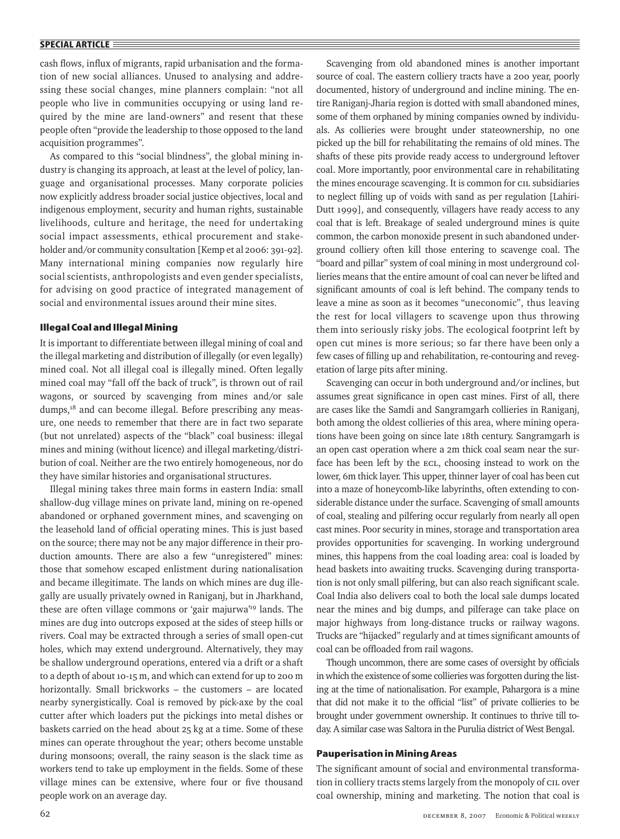cash flows, influx of migrants, rapid urbanisation and the formation of new social alliances. Unused to analysing and addressing these social changes, mine planners complain: "not all people who live in communities occupying or using land required by the mine are land-owners" and resent that these people often "provide the leadership to those opposed to the land acquisition programmes".

As compared to this "social blindness", the global mining industry is changing its approach, at least at the level of policy, language and organisational processes. Many corporate policies now explicitly address broader social justice objectives, local and indigenous employment, security and human rights, sustainable livelihoods, culture and heritage, the need for undertaking social impact assessments, ethical procurement and stakeholder and/or community consultation [Kemp et al 2006: 391-92]. Many international mining companies now regularly hire social scientists, anthropologists and even gender specialists, for advising on good practice of integrated management of social and environmental issues around their mine sites.

#### **Illegal Coal and Illegal Mining**

It is important to differentiate between illegal mining of coal and the illegal marketing and distribution of illegally (or even legally) mined coal. Not all illegal coal is illegally mined. Often legally mined coal may "fall off the back of truck", is thrown out of rail wagons, or sourced by scavenging from mines and/or sale dumps,<sup>18</sup> and can become illegal. Before prescribing any measure, one needs to remember that there are in fact two separate (but not unrelated) aspects of the "black" coal business: illegal mines and mining (without licence) and illegal marketing/distribution of coal. Neither are the two entirely homogeneous, nor do they have similar histories and organisational structures.

Illegal mining takes three main forms in eastern India: small shallow-dug village mines on private land, mining on re-opened abandoned or orphaned government mines, and scavenging on the leasehold land of official operating mines. This is just based on the source; there may not be any major difference in their production amounts. There are also a few "unregistered" mines: those that somehow escaped enlistment during nationalisation and became illegitimate. The lands on which mines are dug illegally are usually privately owned in Raniganj, but in Jharkhand, these are often village commons or 'gair majurwa'19 lands. The mines are dug into outcrops exposed at the sides of steep hills or rivers. Coal may be extracted through a series of small open-cut holes, which may extend underground. Alternatively, they may be shallow underground operations, entered via a drift or a shaft to a depth of about 10-15 m, and which can extend for up to 200 m horizontally. Small brickworks – the customers – are located nearby synergistically. Coal is removed by pick-axe by the coal cutter after which loaders put the pickings into metal dishes or baskets carried on the head about 25 kg at a time. Some of these mines can operate throughout the year; others become unstable during monsoons; overall, the rainy season is the slack time as workers tend to take up employment in the fields. Some of these village mines can be extensive, where four or five thousand people work on an average day.

Scavenging from old abandoned mines is another important source of coal. The eastern colliery tracts have a 200 year, poorly documented, history of underground and incline mining. The entire Raniganj-Jharia region is dotted with small abandoned mines, some of them orphaned by mining companies owned by individuals. As collieries were brought under stateownership, no one picked up the bill for rehabilitating the remains of old mines. The shafts of these pits provide ready access to underground leftover coal. More importantly, poor environmental care in rehabilitating the mines encourage scavenging. It is common for CIL subsidiaries to neglect filling up of voids with sand as per regulation [Lahiri-Dutt 1999], and consequently, villagers have ready access to any coal that is left. Breakage of sealed underground mines is quite common, the carbon monoxide present in such abandoned underground colliery often kill those entering to scavenge coal. The "board and pillar" system of coal mining in most underground collieries means that the entire amount of coal can never be lifted and significant amounts of coal is left behind. The company tends to leave a mine as soon as it becomes "uneconomic", thus leaving the rest for local villagers to scavenge upon thus throwing them into seriously risky jobs. The ecological footprint left by open cut mines is more serious; so far there have been only a few cases of filling up and rehabilitation, re-contouring and revegetation of large pits after mining.

Scavenging can occur in both underground and/or inclines, but assumes great significance in open cast mines. First of all, there are cases like the Samdi and Sangramgarh collieries in Raniganj, both among the oldest collieries of this area, where mining operations have been going on since late 18th century. Sangramgarh is an open cast operation where a 2m thick coal seam near the surface has been left by the ECL, choosing instead to work on the lower, 6m thick layer. This upper, thinner layer of coal has been cut into a maze of honeycomb-like labyrinths, often extending to considerable distance under the surface. Scavenging of small amounts of coal, stealing and pilfering occur regularly from nearly all open cast mines. Poor security in mines, storage and transportation area provides opportunities for scavenging. In working underground mines, this happens from the coal loading area: coal is loaded by head baskets into awaiting trucks. Scavenging during transportation is not only small pilfering, but can also reach significant scale. Coal India also delivers coal to both the local sale dumps located near the mines and big dumps, and pilferage can take place on major highways from long-distance trucks or railway wagons. Trucks are "hijacked" regularly and at times significant amounts of coal can be offloaded from rail wagons.

Though uncommon, there are some cases of oversight by officials in which the existence of some collieries was forgotten during the listing at the time of nationalisation. For example, Pahargora is a mine that did not make it to the official "list" of private collieries to be brought under government ownership. It continues to thrive till today. A similar case was Saltora in the Purulia district of West Bengal.

## **Pauperisation in Mining Areas**

The significant amount of social and environmental transformation in colliery tracts stems largely from the monopoly of CIL over coal ownership, mining and marketing. The notion that coal is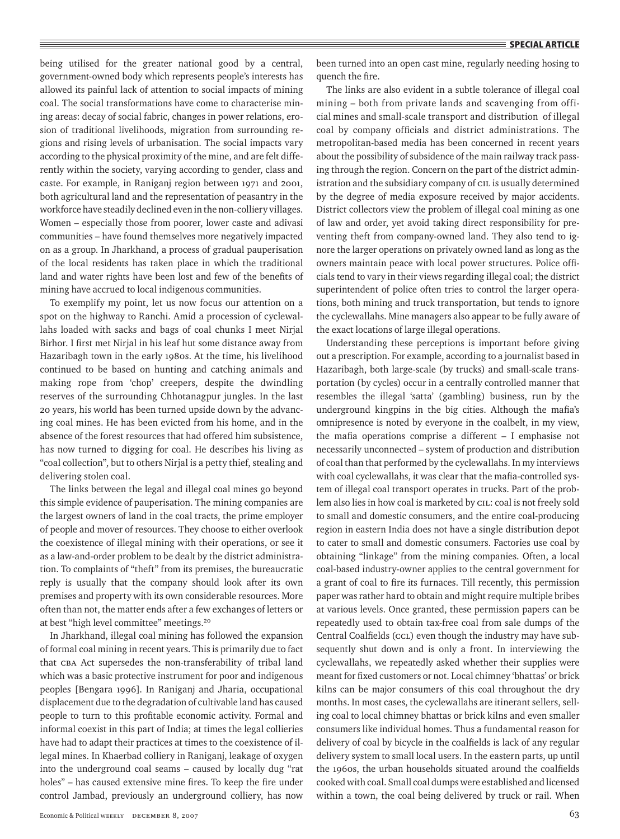being utilised for the greater national good by a central, government-owned body which represents people's interests has allowed its painful lack of attention to social impacts of mining coal. The social transformations have come to characterise mining areas: decay of social fabric, changes in power relations, erosion of traditional livelihoods, migration from surrounding regions and rising levels of urbanisation. The social impacts vary according to the physical proximity of the mine, and are felt differently within the society, varying according to gender, class and caste. For example, in Raniganj region between 1971 and 2001, both agricultural land and the representation of peasantry in the workforce have steadily declined even in the non-colliery villages. Women – especially those from poorer, lower caste and adivasi communities – have found themselves more negatively impacted on as a group. In Jharkhand, a process of gradual pauperisation of the local residents has taken place in which the traditional land and water rights have been lost and few of the benefits of mining have accrued to local indigenous communities.

To exemplify my point, let us now focus our attention on a spot on the highway to Ranchi. Amid a procession of cyclewallahs loaded with sacks and bags of coal chunks I meet Nirjal Birhor. I first met Nirjal in his leaf hut some distance away from Hazaribagh town in the early 1980s. At the time, his livelihood continued to be based on hunting and catching animals and making rope from 'chop' creepers, despite the dwindling reserves of the surrounding Chhotanagpur jungles. In the last 20 years, his world has been turned upside down by the advancing coal mines. He has been evicted from his home, and in the absence of the forest resources that had offered him subsistence, has now turned to digging for coal. He describes his living as "coal collection", but to others Nirjal is a petty thief, stealing and delivering stolen coal.

The links between the legal and illegal coal mines go beyond this simple evidence of pauperisation. The mining companies are the largest owners of land in the coal tracts, the prime employer of people and mover of resources. They choose to either overlook the coexistence of illegal mining with their operations, or see it as a law-and-order problem to be dealt by the district administration. To complaints of "theft" from its premises, the bureaucratic reply is usually that the company should look after its own premises and property with its own considerable resources. More often than not, the matter ends after a few exchanges of letters or at best "high level committee" meetings.20

In Jharkhand, illegal coal mining has followed the expansion of formal coal mining in recent years. This is primarily due to fact that CBA Act supersedes the non-transferability of tribal land which was a basic protective instrument for poor and indigenous peoples [Bengara 1996]. In Raniganj and Jharia, occupational displacement due to the degradation of cultivable land has caused people to turn to this profitable economic activity. Formal and informal coexist in this part of India; at times the legal collieries have had to adapt their practices at times to the coexistence of illegal mines. In Khaerbad colliery in Raniganj, leakage of oxygen into the underground coal seams – caused by locally dug "rat holes" – has caused extensive mine fires. To keep the fire under control Jambad, previously an underground colliery, has now been turned into an open cast mine, regularly needing hosing to quench the fire.

The links are also evident in a subtle tolerance of illegal coal mining – both from private lands and scavenging from official mines and small-scale transport and distribution of illegal coal by company officials and district administrations. The metropolitan-based media has been concerned in recent years about the possibility of subsidence of the main railway track passing through the region. Concern on the part of the district administration and the subsidiary company of CIL is usually determined by the degree of media exposure received by major accidents. District collectors view the problem of illegal coal mining as one of law and order, yet avoid taking direct responsibility for preventing theft from company-owned land. They also tend to ignore the larger operations on privately owned land as long as the owners maintain peace with local power structures. Police officials tend to vary in their views regarding illegal coal; the district superintendent of police often tries to control the larger operations, both mining and truck transportation, but tends to ignore the cyclewallahs. Mine managers also appear to be fully aware of the exact locations of large illegal operations.

Understanding these perceptions is important before giving out a prescription. For example, according to a journalist based in Hazaribagh, both large-scale (by trucks) and small-scale transportation (by cycles) occur in a centrally controlled manner that resembles the illegal 'satta' (gambling) business, run by the underground kingpins in the big cities. Although the mafia's omnipresence is noted by everyone in the coalbelt, in my view, the mafia operations comprise a different – I emphasise not necessarily unconnected – system of production and distribution of coal than that performed by the cyclewallahs. In my interviews with coal cyclewallahs, it was clear that the mafia-controlled system of illegal coal transport operates in trucks. Part of the problem also lies in how coal is marketed by CIL: coal is not freely sold to small and domestic consumers, and the entire coal-producing region in eastern India does not have a single distribution depot to cater to small and domestic consumers. Factories use coal by obtaining "linkage" from the mining companies. Often, a local coal-based industry-owner applies to the central government for a grant of coal to fire its furnaces. Till recently, this permission paper was rather hard to obtain and might require multiple bribes at various levels. Once granted, these permission papers can be repeatedly used to obtain tax-free coal from sale dumps of the Central Coalfields (CCL) even though the industry may have subsequently shut down and is only a front. In interviewing the cyclewallahs, we repeatedly asked whether their supplies were meant for fixed customers or not. Local chimney 'bhattas' or brick kilns can be major consumers of this coal throughout the dry months. In most cases, the cyclewallahs are itinerant sellers, selling coal to local chimney bhattas or brick kilns and even smaller consumers like individual homes. Thus a fundamental reason for delivery of coal by bicycle in the coalfields is lack of any regular delivery system to small local users. In the eastern parts, up until the 1960s, the urban households situated around the coalfields cooked with coal. Small coal dumps were established and licensed within a town, the coal being delivered by truck or rail. When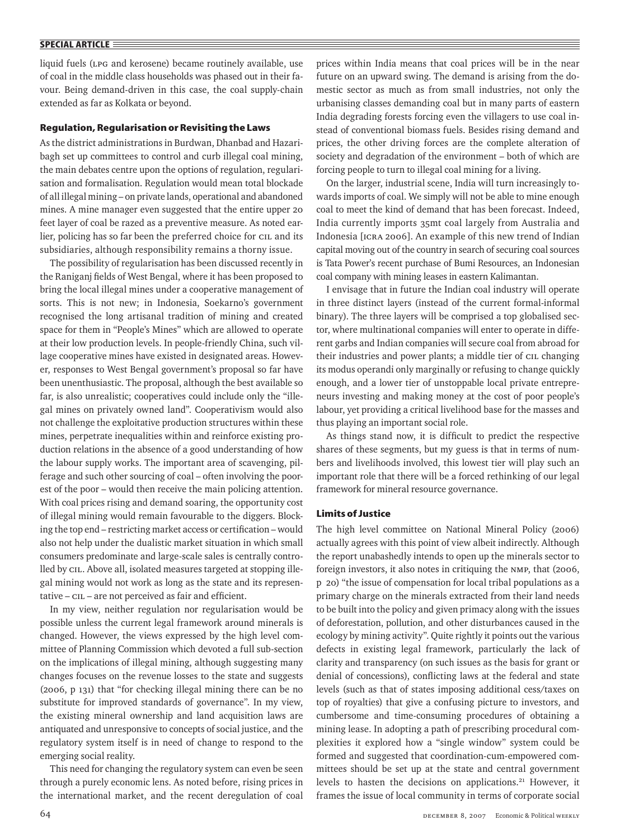liquid fuels (LPG and kerosene) became routinely available, use of coal in the middle class households was phased out in their favour. Being demand-driven in this case, the coal supply-chain extended as far as Kolkata or beyond.

#### **Regulation, Regularisation or Revisiting the Laws**

As the district administrations in Burdwan, Dhanbad and Hazaribagh set up committees to control and curb illegal coal mining, the main debates centre upon the options of regulation, regularisation and formalisation. Regulation would mean total blockade of all illegal mining – on private lands, operational and abandoned mines. A mine manager even suggested that the entire upper 20 feet layer of coal be razed as a preventive measure. As noted earlier, policing has so far been the preferred choice for CIL and its subsidiaries, although responsibility remains a thorny issue.

The possibility of regularisation has been discussed recently in the Raniganj fields of West Bengal, where it has been proposed to bring the local illegal mines under a cooperative management of sorts. This is not new; in Indonesia, Soekarno's government recognised the long artisanal tradition of mining and created space for them in "People's Mines" which are allowed to operate at their low production levels. In people-friendly China, such village cooperative mines have existed in designated areas. However, responses to West Bengal government's proposal so far have been unenthusiastic. The proposal, although the best available so far, is also unrealistic; cooperatives could include only the "illegal mines on privately owned land". Cooperativism would also not challenge the exploitative production structures within these mines, perpetrate inequalities within and reinforce existing production relations in the absence of a good understanding of how the labour supply works. The important area of scavenging, pilferage and such other sourcing of coal – often involving the poorest of the poor – would then receive the main policing attention. With coal prices rising and demand soaring, the opportunity cost of illegal mining would remain favourable to the diggers. Blocking the top end – restricting market access or certification – would also not help under the dualistic market situation in which small consumers predominate and large-scale sales is centrally controlled by CIL. Above all, isolated measures targeted at stopping illegal mining would not work as long as the state and its representative – CIL – are not perceived as fair and efficient.

In my view, neither regulation nor regularisation would be possible unless the current legal framework around minerals is changed. However, the views expressed by the high level committee of Planning Commission which devoted a full sub-section on the implications of illegal mining, although suggesting many changes focuses on the revenue losses to the state and suggests (2006, p 131) that "for checking illegal mining there can be no substitute for improved standards of governance". In my view, the existing mineral ownership and land acquisition laws are antiquated and unresponsive to concepts of social justice, and the regulatory system itself is in need of change to respond to the emerging social reality.

This need for changing the regulatory system can even be seen through a purely economic lens. As noted before, rising prices in the international market, and the recent deregulation of coal prices within India means that coal prices will be in the near future on an upward swing. The demand is arising from the domestic sector as much as from small industries, not only the urbanising classes demanding coal but in many parts of eastern India degrading forests forcing even the villagers to use coal instead of conventional biomass fuels. Besides rising demand and prices, the other driving forces are the complete alteration of society and degradation of the environment – both of which are forcing people to turn to illegal coal mining for a living.

On the larger, industrial scene, India will turn increasingly towards imports of coal. We simply will not be able to mine enough coal to meet the kind of demand that has been forecast. Indeed, India currently imports 35mt coal largely from Australia and Indonesia [ICRA 2006]. An example of this new trend of Indian capital moving out of the country in search of securing coal sources is Tata Power's recent purchase of Bumi Resources, an Indonesian coal company with mining leases in eastern Kalimantan.

I envisage that in future the Indian coal industry will operate in three distinct layers (instead of the current formal-informal binary). The three layers will be comprised a top globalised sector, where multinational companies will enter to operate in different garbs and Indian companies will secure coal from abroad for their industries and power plants; a middle tier of CIL changing its modus operandi only marginally or refusing to change quickly enough, and a lower tier of unstoppable local private entrepreneurs investing and making money at the cost of poor people's labour, yet providing a critical livelihood base for the masses and thus playing an important social role.

As things stand now, it is difficult to predict the respective shares of these segments, but my guess is that in terms of numbers and livelihoods involved, this lowest tier will play such an important role that there will be a forced rethinking of our legal framework for mineral resource governance.

#### **Limits of Justice**

The high level committee on National Mineral Policy (2006) actually agrees with this point of view albeit indirectly. Although the report unabashedly intends to open up the minerals sector to foreign investors, it also notes in critiquing the NMP, that (2006, p 20) "the issue of compensation for local tribal populations as a primary charge on the minerals extracted from their land needs to be built into the policy and given primacy along with the issues of deforestation, pollution, and other disturbances caused in the ecology by mining activity". Quite rightly it points out the various defects in existing legal framework, particularly the lack of clarity and transparency (on such issues as the basis for grant or denial of concessions), conflicting laws at the federal and state levels (such as that of states imposing additional cess/taxes on top of royalties) that give a confusing picture to investors, and cumbersome and time-consuming procedures of obtaining a mining lease. In adopting a path of prescribing procedural complexities it explored how a "single window" system could be formed and suggested that coordination-cum-empowered committees should be set up at the state and central government levels to hasten the decisions on applications.<sup>21</sup> However, it frames the issue of local community in terms of corporate social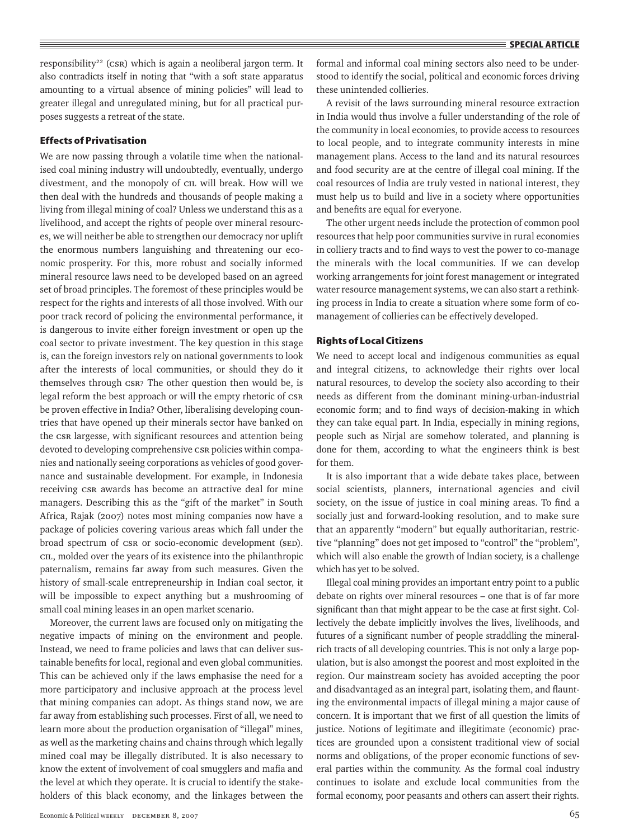responsibility<sup>22</sup> (CSR) which is again a neoliberal jargon term. It also contradicts itself in noting that "with a soft state apparatus amounting to a virtual absence of mining policies" will lead to greater illegal and unregulated mining, but for all practical purposes suggests a retreat of the state.

## **Effects of Privatisation**

We are now passing through a volatile time when the nationalised coal mining industry will undoubtedly, eventually, undergo divestment, and the monopoly of CIL will break. How will we then deal with the hundreds and thousands of people making a living from illegal mining of coal? Unless we understand this as a livelihood, and accept the rights of people over mineral resources, we will neither be able to strengthen our democracy nor uplift the enormous numbers languishing and threatening our economic prosperity. For this, more robust and socially informed mineral resource laws need to be developed based on an agreed set of broad principles. The foremost of these principles would be respect for the rights and interests of all those involved. With our poor track record of policing the environmental performance, it is dangerous to invite either foreign investment or open up the coal sector to private investment. The key question in this stage is, can the foreign investors rely on national governments to look after the interests of local communities, or should they do it themselves through CSR? The other question then would be, is legal reform the best approach or will the empty rhetoric of CSR be proven effective in India? Other, liberalising developing countries that have opened up their minerals sector have banked on the CSR largesse, with significant resources and attention being devoted to developing comprehensive CSR policies within companies and nationally seeing corporations as vehicles of good governance and sustainable development. For example, in Indonesia receiving CSR awards has become an attractive deal for mine managers. Describing this as the "gift of the market" in South Africa, Rajak (2007) notes most mining companies now have a package of policies covering various areas which fall under the broad spectrum of CSR or socio-economic development (SED). CIL, molded over the years of its existence into the philanthropic paternalism, remains far away from such measures. Given the history of small-scale entrepreneurship in Indian coal sector, it will be impossible to expect anything but a mushrooming of small coal mining leases in an open market scenario.

Moreover, the current laws are focused only on mitigating the negative impacts of mining on the environment and people. Instead, we need to frame policies and laws that can deliver sustainable benefits for local, regional and even global communities. This can be achieved only if the laws emphasise the need for a more participatory and inclusive approach at the process level that mining companies can adopt. As things stand now, we are far away from establishing such processes. First of all, we need to learn more about the production organisation of "illegal" mines, as well as the marketing chains and chains through which legally mined coal may be illegally distributed. It is also necessary to know the extent of involvement of coal smugglers and mafia and the level at which they operate. It is crucial to identify the stakeholders of this black economy, and the linkages between the formal and informal coal mining sectors also need to be understood to identify the social, political and economic forces driving these unintended collieries.

A revisit of the laws surrounding mineral resource extraction in India would thus involve a fuller understanding of the role of the community in local economies, to provide access to resources to local people, and to integrate community interests in mine management plans. Access to the land and its natural resources and food security are at the centre of illegal coal mining. If the coal resources of India are truly vested in national interest, they must help us to build and live in a society where opportunities and benefits are equal for everyone.

The other urgent needs include the protection of common pool resources that help poor communities survive in rural economies in colliery tracts and to find ways to vest the power to co-manage the minerals with the local communities. If we can develop working arrangements for joint forest management or integrated water resource management systems, we can also start a rethinking process in India to create a situation where some form of comanagement of collieries can be effectively developed.

#### **Rights of Local Citizens**

We need to accept local and indigenous communities as equal and integral citizens, to acknowledge their rights over local natural resources, to develop the society also according to their needs as different from the dominant mining-urban-industrial economic form; and to find ways of decision-making in which they can take equal part. In India, especially in mining regions, people such as Nirjal are somehow tolerated, and planning is done for them, according to what the engineers think is best for them.

It is also important that a wide debate takes place, between social scientists, planners, international agencies and civil society, on the issue of justice in coal mining areas. To find a socially just and forward-looking resolution, and to make sure that an apparently "modern" but equally authoritarian, restrictive "planning" does not get imposed to "control" the "problem", which will also enable the growth of Indian society, is a challenge which has yet to be solved.

Illegal coal mining provides an important entry point to a public debate on rights over mineral resources – one that is of far more significant than that might appear to be the case at first sight. Collectively the debate implicitly involves the lives, livelihoods, and futures of a significant number of people straddling the mineralrich tracts of all developing countries. This is not only a large population, but is also amongst the poorest and most exploited in the region. Our mainstream society has avoided accepting the poor and disadvantaged as an integral part, isolating them, and flaunting the environmental impacts of illegal mining a major cause of concern. It is important that we first of all question the limits of justice. Notions of legitimate and illegitimate (economic) practices are grounded upon a consistent traditional view of social norms and obligations, of the proper economic functions of several parties within the community. As the formal coal industry continues to isolate and exclude local communities from the formal economy, poor peasants and others can assert their rights.